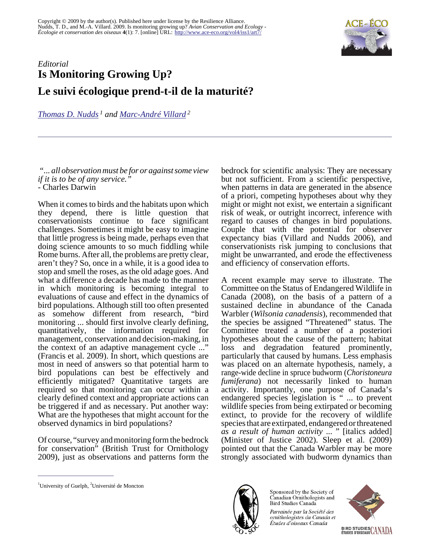

## *Editorial* **Is Monitoring Growing Up? Le suivi écologique prend-t-il de la maturité?**

*[Thomas D. Nudds](mailto:tnudds@uoguelph.ca)<sup>1</sup> and [Marc-André Villard](mailto:marc-andre.villard@umoncton.ca)<sup>2</sup>*

 *"... all observation must be for or against some view if it is to be of any service."* - Charles Darwin

When it comes to birds and the habitats upon which they depend, there is little question that conservationists continue to face significant challenges. Sometimes it might be easy to imagine that little progress is being made, perhaps even that doing science amounts to so much fiddling while Rome burns. After all, the problems are pretty clear, aren't they? So, once in a while, it is a good idea to stop and smell the roses, as the old adage goes. And what a difference a decade has made to the manner in which monitoring is becoming integral to evaluations of cause and effect in the dynamics of bird populations. Although still too often presented as somehow different from research, "bird monitoring ... should first involve clearly defining, quantitatively, the information required for management, conservation and decision-making, in the context of an adaptive management cycle ..." (Francis et al. 2009). In short, which questions are most in need of answers so that potential harm to bird populations can best be effectively and efficiently mitigated? Quantitative targets are required so that monitoring can occur within a clearly defined context and appropriate actions can be triggered if and as necessary. Put another way: What are the hypotheses that might account for the observed dynamics in bird populations?

Of course, "survey and monitoring form the bedrock for conservation" (British Trust for Ornithology 2009), just as observations and patterns form the

bedrock for scientific analysis: They are necessary but not sufficient. From a scientific perspective, when patterns in data are generated in the absence of a priori, competing hypotheses about why they might or might not exist, we entertain a significant risk of weak, or outright incorrect, inference with regard to causes of changes in bird populations. Couple that with the potential for observer expectancy bias (Villard and Nudds 2006), and conservationists risk jumping to conclusions that might be unwarranted, and erode the effectiveness and efficiency of conservation efforts.

A recent example may serve to illustrate. The Committee on the Status of Endangered Wildlife in Canada (2008), on the basis of a pattern of a sustained decline in abundance of the Canada Warbler (*Wilsonia canadensis*), recommended that the species be assigned "Threatened" status. The Committee treated a number of a posteriori hypotheses about the cause of the pattern; habitat loss and degradation featured prominently, particularly that caused by humans. Less emphasis was placed on an alternate hypothesis, namely, a range-wide decline in spruce budworm (*Choristoneura fumiferana*) not necessarily linked to human activity. Importantly, one purpose of Canada's endangered species legislation is " ... to prevent wildlife species from being extirpated or becoming extinct, to provide for the recovery of wildlife species that are extirpated, endangered or threatened *as a result of human activity* ... " [italics added] (Minister of Justice 2002). Sleep et al. (2009) pointed out that the Canada Warbler may be more strongly associated with budworm dynamics than



Sponsored by the Society of Canadian Ornithologists and Bird Studies Canada Parrainée par la Société des ornithologistes du Canada et

Études d'oiseaux Canada



<sup>&</sup>lt;sup>1</sup>University of Guelph,  ${}^{2}$ Université de Moncton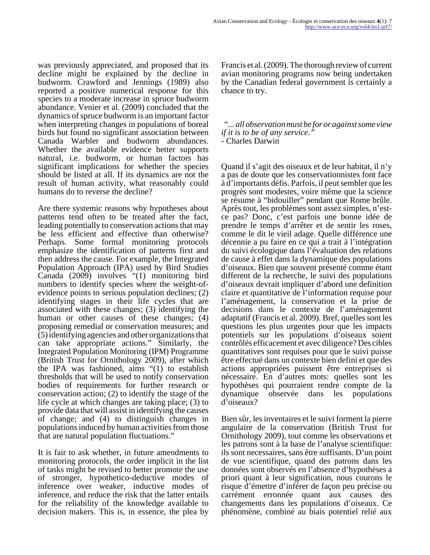was previously appreciated, and proposed that its decline might be explained by the decline in budworm. Crawford and Jennings (1989) also reported a positive numerical response for this species to a moderate increase in spruce budworm abundance. Venier et al. (2009) concluded that the dynamics of spruce budworm is an important factor when interpreting changes in populations of boreal birds but found no significant association between Canada Warbler and budworm abundances. Whether the available evidence better supports natural, i.e. budworm, or human factors has significant implications for whether the species should be listed at all. If its dynamics are not the result of human activity, what reasonably could humans do to reverse the decline?

Are there systemic reasons why hypotheses about patterns tend often to be treated after the fact, leading potentially to conservation actions that may be less efficient and effective than otherwise? Perhaps. Some formal monitoring protocols emphasize the identification of patterns first and then address the cause. For example, the Integrated Population Approach (IPA) used by Bird Studies Canada (2009) involves "(1) monitoring bird numbers to identify species where the weight-ofevidence points to serious population declines; (2) identifying stages in their life cycles that are associated with these changes; (3) identifying the human or other causes of these changes; (4) proposing remedial or conservation measures; and (5) identifying agencies and other organizations that can take appropriate actions." Similarly, the Integrated Population Monitoring (IPM) Programme (British Trust for Ornithology 2009), after which the IPA was fashioned, aims "(1) to establish thresholds that will be used to notify conservation bodies of requirements for further research or conservation action; (2) to identify the stage of the life cycle at which changes are taking place; (3) to provide data that will assist in identifying the causes of change; and (4) to distinguish changes in populations induced by human activities from those that are natural population fluctuations."

It is fair to ask whether, in future amendments to monitoring protocols, the order implicit in the list of tasks might be revised to better promote the use of stronger, hypothetico-deductive modes of inference over weaker, inductive modes of inference, and reduce the risk that the latter entails for the reliability of the knowledge available to decision makers. This is, in essence, the plea by

Francis et al. (2009). The thorough review of current avian monitoring programs now being undertaken by the Canadian federal government is certainly a chance to try.

 *"... all observation must be for or against some view if it is to be of any service."* - Charles Darwin

Quand il s'agit des oiseaux et de leur habitat, il n'y a pas de doute que les conservationnistes font face à d'importants défis. Parfois, il peut sembler que les progrès sont modestes, voire même que la science se résume à "bidouiller" pendant que Rome brûle. Après tout, les problèmes sont assez simples, n'estce pas? Donc, c'est parfois une bonne idée de prendre le temps d'arrêter et de sentir les roses, comme le dit le vieil adage. Quelle différence une décennie a pu faire en ce qui a trait à l'intégration du suivi écologique dans l'évaluation des relations de cause à effet dans la dynamique des populations d'oiseaux. Bien que souvent présenté comme étant different de la recherche, le suivi des populations d'oiseaux devrait impliquer d'abord une definition claire et quantitative de l'information requise pour l'aménagement, la conservation et la prise de decisions dans le contexte de l'aménagement adaptatif (Francis et al. 2009). Bref, quelles sont les questions les plus urgentes pour que les impacts potentiels sur les populations d'oiseaux soient contrôlés efficacement et avec diligence? Des cibles quantitatives sont requises pour que le suivi puisse être effectué dans un contexte bien defini et que des actions appropriées puissent être entreprises si nécessaire. En d'autres mots: quelles sont les hypothèses qui pourraient rendre compte de la dynamique observée dans les populations d'oiseaux?

Bien sûr, les inventaires et le suivi forment la pierre angulaire de la conservation (British Trust for Ornithology 2009), tout comme les observations et les patrons sont à la base de l'analyse scientifique: ils sont necessaires, sans être suffisants. D'un point de vue scientifique, quand des patrons dans les données sont observés en l'absence d'hypothèses a priori quant à leur signification, nous courons le risque d'émettre d'inférer de façon peu précise ou carrément erronnée quant aux causes des changements dans les populations d'oiseaux. Ce phénomène, combiné au biais potentiel relié aux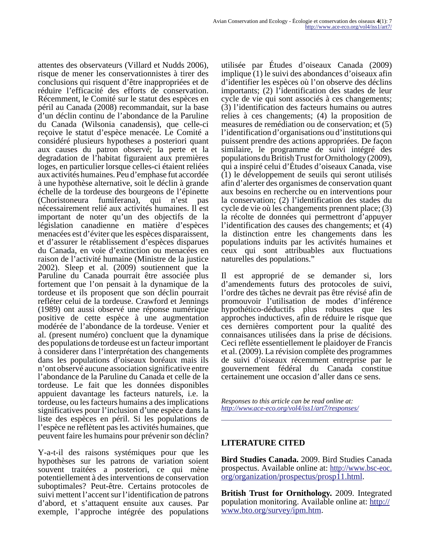attentes des observateurs (Villard et Nudds 2006), risque de mener les conservationnistes à tirer des conclusions qui risquent d'être inappropriées et de réduire l'efficacité des efforts de conservation. Récemment, le Comité sur le statut des espèces en péril au Canada (2008) recommandait, sur la base d'un déclin continu de l'abondance de la Paruline du Canada (Wilsonia canadensis), que celle-ci reçoive le statut d'espèce menacée. Le Comité a considéré plusieurs hypotheses a posteriori quant aux causes du patron observé; la perte et la degradation de l'habitat figuraient aux premières loges, en particulier lorsque celles-ci étaient reliées aux activités humaines. Peu d'emphase fut accordée à une hypothèse alternative, soit le déclin à grande échelle de la tordeuse des bourgeons de l'épinette (Choristoneura fumiferana), qui n'est pas nécessairement relié aux activités humaines. Il est important de noter qu'un des objectifs de la législation canadienne en matière d'espèces menacées est d'éviter que les espèces disparaissent, et d'assurer le rétablissement d'espèces disparues du Canada, en voie d'extinction ou menacées en raison de l'activité humaine (Ministre de la justice 2002). Sleep et al. (2009) soutiennent que la Paruline du Canada pourrait être associée plus fortement que l'on pensait à la dynamique de la tordeuse et ils proposent que son déclin pourrait refléter celui de la tordeuse. Crawford et Jennings (1989) ont aussi observé une réponse numérique positive de cette espèce à une augmentation modérée de l'abondance de la tordeuse. Venier et al. (present numéro) concluent que la dynamique des populations de tordeuse est un facteur important à considerer dans l'interprétation des changements dans les populations d'oiseaux boréaux mais ils n'ont observé aucune association significative entre l'abondance de la Paruline du Canada et celle de la tordeuse. Le fait que les données disponibles appuient davantage les facteurs naturels, i.e. la tordeuse, ou les facteurs humains a des implications significatives pour l'inclusion d'une espèce dans la liste des espèces en péril. Si les populations de l'espèce ne reflètent pas les activités humaines, que peuvent faire les humains pour prévenir son déclin?

Y-a-t-il des raisons systémiques pour que les hypothèses sur les patrons de variation soient souvent traitées a posteriori, ce qui mène potentiellement à des interventions de conservation suboptimales? Peut-être. Certains protocoles de suivi mettent l'accent sur l'identification de patrons d'abord, et s'attaquent ensuite aux causes. Par exemple, l'approche intégrée des populations

utilisée par Études d'oiseaux Canada (2009) implique (1) le suivi des abondances d'oiseaux afin d'identifier les espèces où l'on observe des déclins importants; (2) l'identification des stades de leur cycle de vie qui sont associés à ces changements; (3) l'identification des facteurs humains ou autres relies à ces changements; (4) la proposition de measures de remédiation ou de conservation; et (5) l'identification d'organisations ou d'institutions qui puissent prendre des actions appropriées. De façon similaire, le programme de suivi intégré des populations du British Trust for Ornithology (2009), qui a inspiré celui d'Études d'oiseaux Canada, vise (1) le développement de seuils qui seront utilisés afin d'alerter des organismes de conservation quant aux besoins en recherche ou en interventions pour la conservation; (2) l'identification des stades du cycle de vie où les changements prennent place; (3) la récolte de données qui permettront d'appuyer l'identification des causes des changements; et (4) la distinction entre les changements dans les populations induits par les activités humaines et ceux qui sont attribuables aux fluctuations naturelles des populations."

Il est approprié de se demander si, lors d'amendements futurs des protocoles de suivi, l'ordre des tâches ne devrait pas être révisé afin de promouvoir l'utilisation de modes d'inférence hypothético-déductifs plus robustes que les approches inductives, afin de réduire le risque que ces dernières comportent pour la qualité des connaisances utilisées dans la prise de décisions. Ceci reflète essentiellement le plaidoyer de Francis et al. (2009). La révision complète des programmes de suivi d'oiseaux récemment entreprise par le gouvernement fédéral du Canada constitue certainement une occasion d'aller dans ce sens.

*Responses to this article can be read online at: <http://www.ace-eco.org/vol4/iss1/art7/responses/>*

## **LITERATURE CITED**

**Bird Studies Canada.** 2009. Bird Studies Canada prospectus. Available online at: [http://www.bsc-eoc.](http://www.bsc-eoc.org/organization/prospectus/prosp11.html) [org/organization/prospectus/prosp11.html.](http://www.bsc-eoc.org/organization/prospectus/prosp11.html)

**British Trust for Ornithology.** 2009. Integrated population monitoring. Available online at: [http://](http://www.bto.org/survey/ipm.htm) [www.bto.org/survey/ipm.htm](http://www.bto.org/survey/ipm.htm).